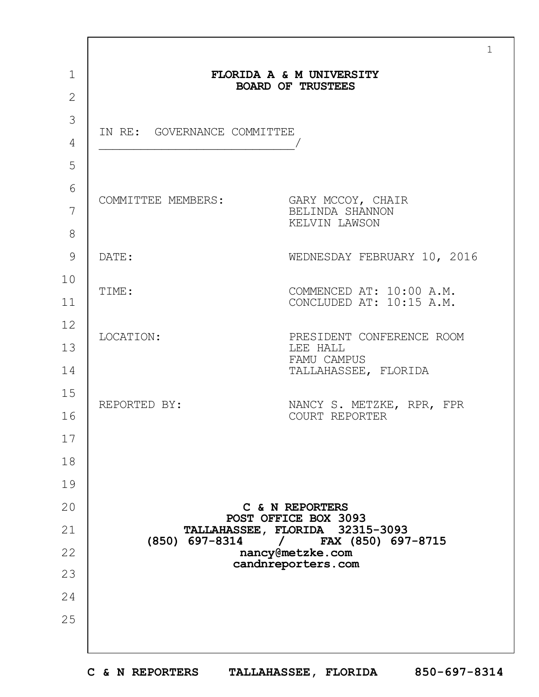|              |                                                      | $\mathbf 1$                                           |  |  |  |
|--------------|------------------------------------------------------|-------------------------------------------------------|--|--|--|
| $\mathbf 1$  | FLORIDA A & M UNIVERSITY<br><b>BOARD OF TRUSTEES</b> |                                                       |  |  |  |
| $\mathbf{2}$ |                                                      |                                                       |  |  |  |
| 3            | IN RE: GOVERNANCE COMMITTEE                          |                                                       |  |  |  |
| 4            |                                                      |                                                       |  |  |  |
| 5            |                                                      |                                                       |  |  |  |
| 6            | COMMITTEE MEMBERS:                                   | GARY MCCOY, CHAIR                                     |  |  |  |
| 7            |                                                      | BELINDA SHANNON<br>KELVIN LAWSON                      |  |  |  |
| 8            |                                                      |                                                       |  |  |  |
| 9            | DATE:                                                | WEDNESDAY FEBRUARY 10, 2016                           |  |  |  |
| 10           | TIME:                                                | COMMENCED AT: 10:00 A.M.                              |  |  |  |
| 11           |                                                      | CONCLUDED AT: 10:15 A.M.                              |  |  |  |
| 12           | LOCATION:                                            | PRESIDENT CONFERENCE ROOM                             |  |  |  |
| 13           |                                                      | LEE HALL<br>FAMU CAMPUS                               |  |  |  |
| 14           |                                                      | TALLAHASSEE, FLORIDA                                  |  |  |  |
| 15           | REPORTED BY:                                         | NANCY S. METZKE, RPR, FPR                             |  |  |  |
| 16           |                                                      | COURT REPORTER                                        |  |  |  |
| 17           |                                                      |                                                       |  |  |  |
| 18           |                                                      |                                                       |  |  |  |
| 19           |                                                      |                                                       |  |  |  |
| 20           |                                                      | C & N REPORTERS<br>POST OFFICE BOX 3093               |  |  |  |
| 21           | (850) 697-8314                                       | TALLAHASSEE, FLORIDA 32315-3093<br>FAX (850) 697-8715 |  |  |  |
| 22           |                                                      | nancy@metzke.com<br>candnreporters.com                |  |  |  |
| 23           |                                                      |                                                       |  |  |  |
| 24           |                                                      |                                                       |  |  |  |
| 25           |                                                      |                                                       |  |  |  |
|              |                                                      |                                                       |  |  |  |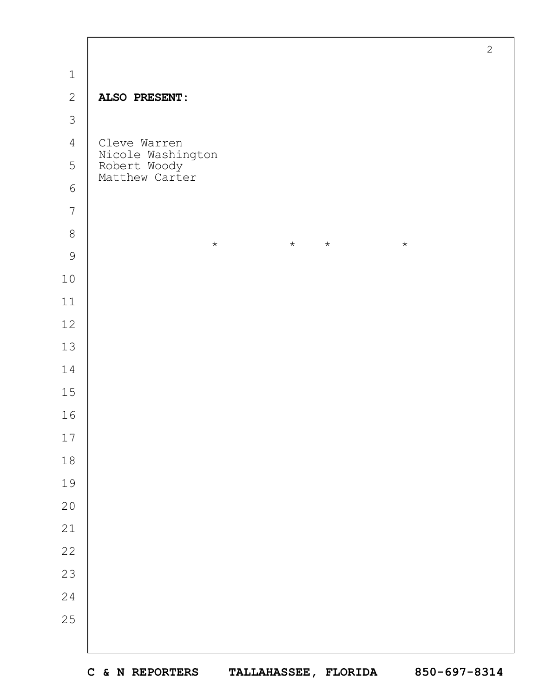|                | $\mathbf{2}$                                        |
|----------------|-----------------------------------------------------|
| $\mathbf 1$    |                                                     |
| $\overline{c}$ | ALSO PRESENT:                                       |
| $\mathcal{S}$  |                                                     |
| $\overline{4}$ | Cleve Warren                                        |
| 5              | Nicole Washington<br>Robert Woody<br>Matthew Carter |
| $\epsilon$     |                                                     |
| $\overline{7}$ |                                                     |
| $8\,$          | $\star$<br>$\star$<br>$\star$<br>$\star$            |
| $\mathcal{G}$  |                                                     |
| $10$           |                                                     |
| $11\,$         |                                                     |
| $12$           |                                                     |
| $13$           |                                                     |
| 14             |                                                     |
| $15$           |                                                     |
| 16             |                                                     |
| $17\,$         |                                                     |
| $18\,$         |                                                     |
| 19             |                                                     |
| $20$           |                                                     |
| $2\sqrt{1}$    |                                                     |
| 22             |                                                     |
| 23             |                                                     |
| 24             |                                                     |
| 25             |                                                     |
|                |                                                     |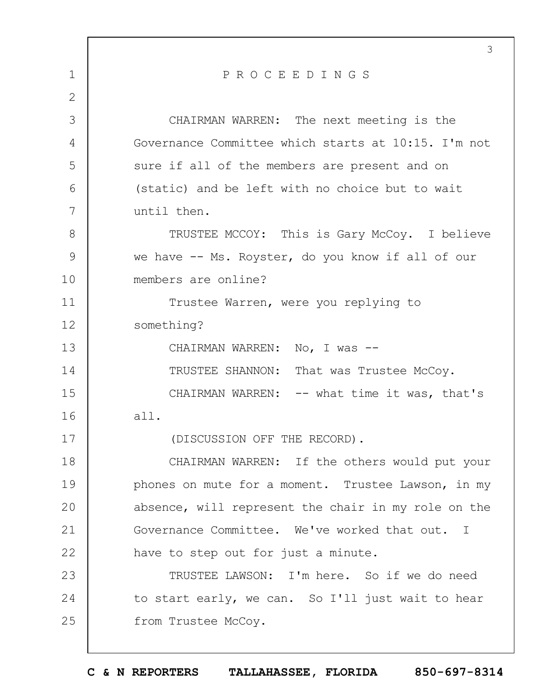|                | 3                                                   |
|----------------|-----------------------------------------------------|
| $\mathbf 1$    | PROCEEDINGS                                         |
| $\overline{2}$ |                                                     |
| 3              | CHAIRMAN WARREN: The next meeting is the            |
| 4              | Governance Committee which starts at 10:15. I'm not |
| 5              | sure if all of the members are present and on       |
| 6              | (static) and be left with no choice but to wait     |
| 7              | until then.                                         |
| 8              | TRUSTEE MCCOY: This is Gary McCoy. I believe        |
| 9              | we have -- Ms. Royster, do you know if all of our   |
| 10             | members are online?                                 |
| 11             | Trustee Warren, were you replying to                |
| 12             | something?                                          |
| 13             | CHAIRMAN WARREN: No, I was --                       |
| 14             | TRUSTEE SHANNON: That was Trustee McCoy.            |
| 15             | CHAIRMAN WARREN: -- what time it was, that's        |
| 16             | all.                                                |
| 17             | (DISCUSSION OFF THE RECORD).                        |
| 18             | CHAIRMAN WARREN: If the others would put your       |
| 19             | phones on mute for a moment. Trustee Lawson, in my  |
| 20             | absence, will represent the chair in my role on the |
| 21             | Governance Committee. We've worked that out. I      |
| 22             | have to step out for just a minute.                 |
| 23             | TRUSTEE LAWSON: I'm here. So if we do need          |
| 24             | to start early, we can. So I'll just wait to hear   |
| 25             | from Trustee McCoy.                                 |
|                |                                                     |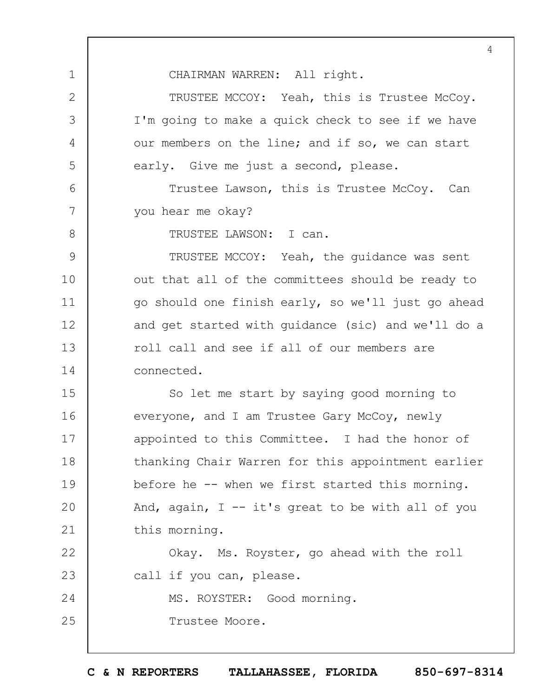CHAIRMAN WARREN: All right.

TRUSTEE MCCOY: Yeah, this is Trustee McCoy. I'm going to make a quick check to see if we have our members on the line; and if so, we can start early. Give me just a second, please.

Trustee Lawson, this is Trustee McCoy. Can you hear me okay?

8

1

2

3

4

5

6

7

TRUSTEE LAWSON: I can.

9 10 11 12 13 14 TRUSTEE MCCOY: Yeah, the guidance was sent out that all of the committees should be ready to go should one finish early, so we'll just go ahead and get started with guidance (sic) and we'll do a roll call and see if all of our members are connected.

15 16 17 18 19  $20$ 21 So let me start by saying good morning to everyone, and I am Trustee Gary McCoy, newly appointed to this Committee. I had the honor of thanking Chair Warren for this appointment earlier before he -- when we first started this morning. And, again,  $I - - it's great to be with all of you$ this morning.

22 23 24 Okay. Ms. Royster, go ahead with the roll call if you can, please. MS. ROYSTER: Good morning.

25 Trustee Moore.

**C & N REPORTERS TALLAHASSEE, FLORIDA 850-697-8314**

4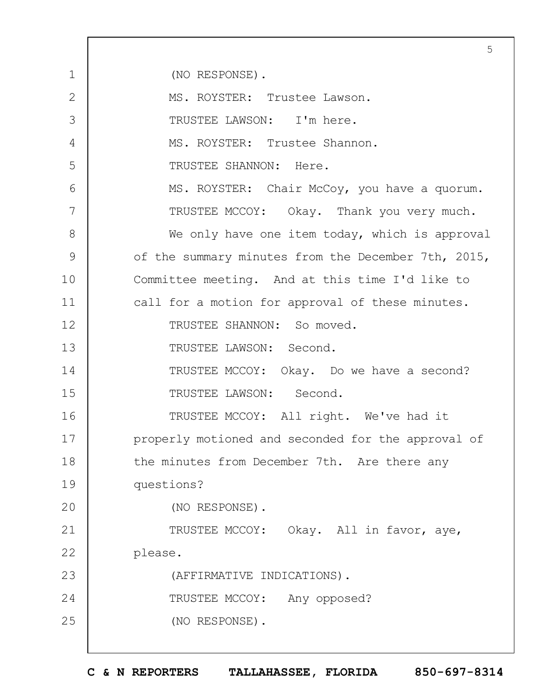1 2 3 4 5 6 7 8 9 10 11 12 13 14 15 16 17 18 19  $20$ 21 22 23 24 25 5 (NO RESPONSE). MS. ROYSTER: Trustee Lawson. TRUSTEE LAWSON: I'm here. MS. ROYSTER: Trustee Shannon. TRUSTEE SHANNON: Here. MS. ROYSTER: Chair McCoy, you have a quorum. TRUSTEE MCCOY: Okay. Thank you very much. We only have one item today, which is approval of the summary minutes from the December 7th, 2015, Committee meeting. And at this time I'd like to call for a motion for approval of these minutes. TRUSTEE SHANNON: So moved. TRUSTEE LAWSON: Second. TRUSTEE MCCOY: Okay. Do we have a second? TRUSTEE LAWSON: Second. TRUSTEE MCCOY: All right. We've had it properly motioned and seconded for the approval of the minutes from December 7th. Are there any questions? (NO RESPONSE). TRUSTEE MCCOY: Okay. All in favor, aye, please. (AFFIRMATIVE INDICATIONS). TRUSTEE MCCOY: Any opposed? (NO RESPONSE).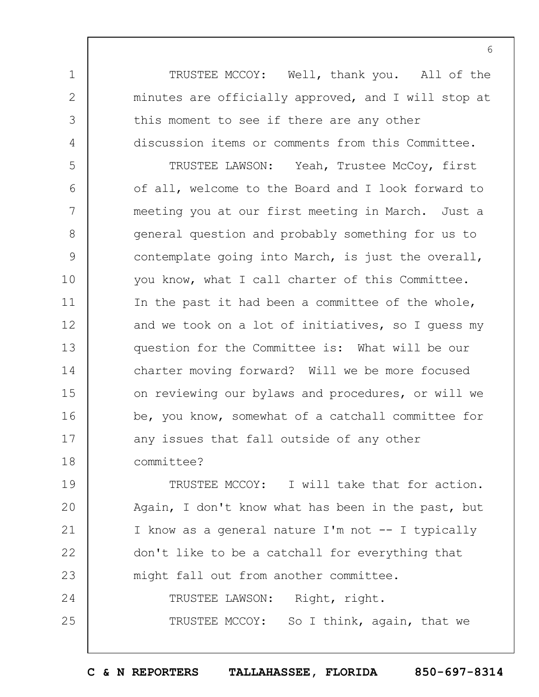TRUSTEE MCCOY: Well, thank you. All of the minutes are officially approved, and I will stop at this moment to see if there are any other discussion items or comments from this Committee.

1

2

3

4

5 6 7 8 9 10 11 12 13 14 15 16 17 18 TRUSTEE LAWSON: Yeah, Trustee McCoy, first of all, welcome to the Board and I look forward to meeting you at our first meeting in March. Just a general question and probably something for us to contemplate going into March, is just the overall, you know, what I call charter of this Committee. In the past it had been a committee of the whole, and we took on a lot of initiatives, so I guess my question for the Committee is: What will be our charter moving forward? Will we be more focused on reviewing our bylaws and procedures, or will we be, you know, somewhat of a catchall committee for any issues that fall outside of any other committee?

19  $20$ 21 22 23 24 25 TRUSTEE MCCOY: I will take that for action. Again, I don't know what has been in the past, but I know as a general nature I'm not -- I typically don't like to be a catchall for everything that might fall out from another committee. TRUSTEE LAWSON: Right, right. TRUSTEE MCCOY: So I think, again, that we

**C & N REPORTERS TALLAHASSEE, FLORIDA 850-697-8314**

6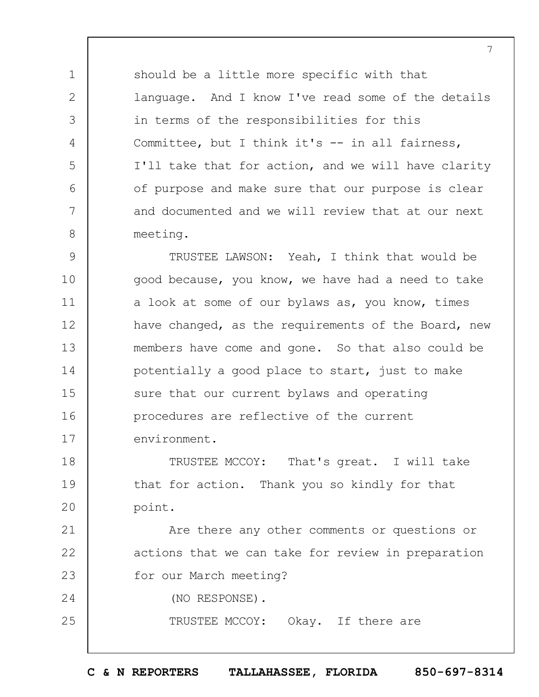should be a little more specific with that language. And I know I've read some of the details in terms of the responsibilities for this Committee, but I think it's -- in all fairness, I'll take that for action, and we will have clarity of purpose and make sure that our purpose is clear and documented and we will review that at our next meeting.

9 10 11 12 13 14 15 16 17 TRUSTEE LAWSON: Yeah, I think that would be good because, you know, we have had a need to take a look at some of our bylaws as, you know, times have changed, as the requirements of the Board, new members have come and gone. So that also could be potentially a good place to start, just to make sure that our current bylaws and operating procedures are reflective of the current environment.

18 19  $20$ TRUSTEE MCCOY: That's great. I will take that for action. Thank you so kindly for that point.

21 22 23 Are there any other comments or questions or actions that we can take for review in preparation for our March meeting?

(NO RESPONSE).

1

2

3

4

5

6

7

8

24

25

TRUSTEE MCCOY: Okay. If there are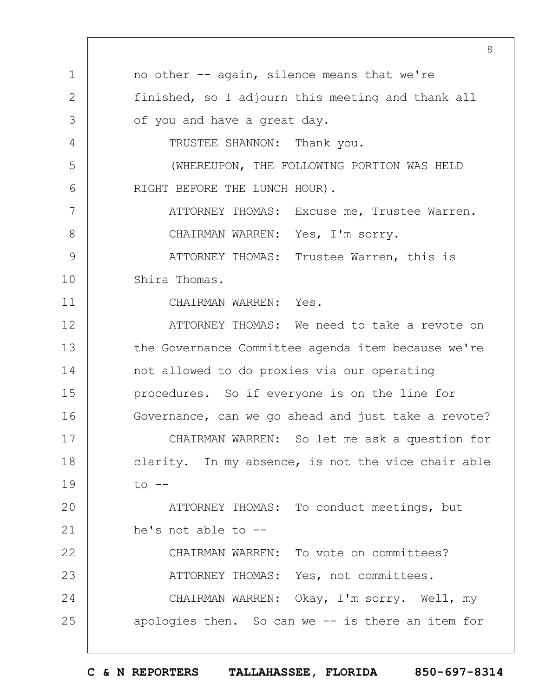1 2 3 4 5 6 7 8 9 10 11 12 13 14 15 16 17 18 19  $20$ 21 22 23 24 25 8 no other -- again, silence means that we're finished, so I adjourn this meeting and thank all of you and have a great day. TRUSTEE SHANNON: Thank you. (WHEREUPON, THE FOLLOWING PORTION WAS HELD RIGHT BEFORE THE LUNCH HOUR). ATTORNEY THOMAS: Excuse me, Trustee Warren. CHAIRMAN WARREN: Yes, I'm sorry. ATTORNEY THOMAS: Trustee Warren, this is Shira Thomas. CHAIRMAN WARREN: Yes. ATTORNEY THOMAS: We need to take a revote on the Governance Committee agenda item because we're not allowed to do proxies via our operating procedures. So if everyone is on the line for Governance, can we go ahead and just take a revote? CHAIRMAN WARREN: So let me ask a question for clarity. In my absence, is not the vice chair able  $to$   $--$ ATTORNEY THOMAS: To conduct meetings, but he's not able to -- CHAIRMAN WARREN: To vote on committees? ATTORNEY THOMAS: Yes, not committees. CHAIRMAN WARREN: Okay, I'm sorry. Well, my apologies then. So can we -- is there an item for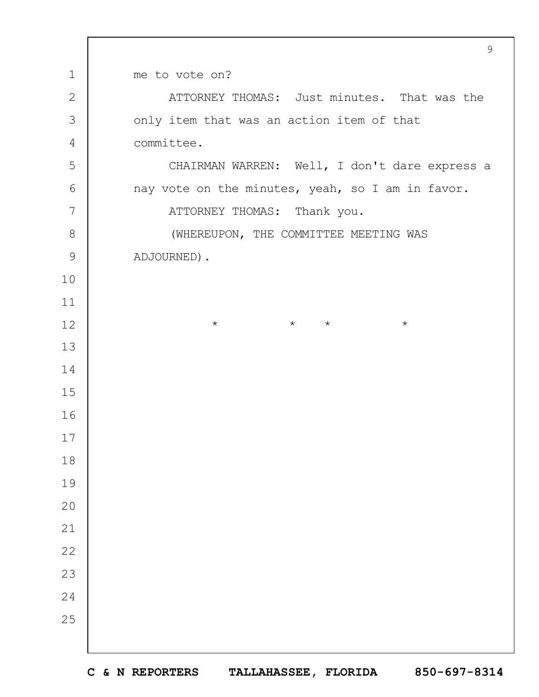|                | 9                                                |  |  |  |  |
|----------------|--------------------------------------------------|--|--|--|--|
| $\mathbf 1$    | me to vote on?                                   |  |  |  |  |
| $\mathbf{2}$   | ATTORNEY THOMAS: Just minutes. That was the      |  |  |  |  |
| 3              | only item that was an action item of that        |  |  |  |  |
| $\overline{4}$ | committee.                                       |  |  |  |  |
| 5              | CHAIRMAN WARREN: Well, I don't dare express a    |  |  |  |  |
| 6              | nay vote on the minutes, yeah, so I am in favor. |  |  |  |  |
| 7              | ATTORNEY THOMAS: Thank you.                      |  |  |  |  |
| 8              | (WHEREUPON, THE COMMITTEE MEETING WAS            |  |  |  |  |
| $\mathsf{9}$   | ADJOURNED).                                      |  |  |  |  |
| 10             |                                                  |  |  |  |  |
| 11             |                                                  |  |  |  |  |
| 12             | $\star$ $\star$<br>$\star$<br>$\star$            |  |  |  |  |
| 13             |                                                  |  |  |  |  |
| 14             |                                                  |  |  |  |  |
| 15             |                                                  |  |  |  |  |
| 16             |                                                  |  |  |  |  |
| 17             |                                                  |  |  |  |  |
| 18             |                                                  |  |  |  |  |
| 19             |                                                  |  |  |  |  |
| 20             |                                                  |  |  |  |  |
| 21             |                                                  |  |  |  |  |
| 22             |                                                  |  |  |  |  |
| 23             |                                                  |  |  |  |  |
| 24             |                                                  |  |  |  |  |
| 25             |                                                  |  |  |  |  |
|                |                                                  |  |  |  |  |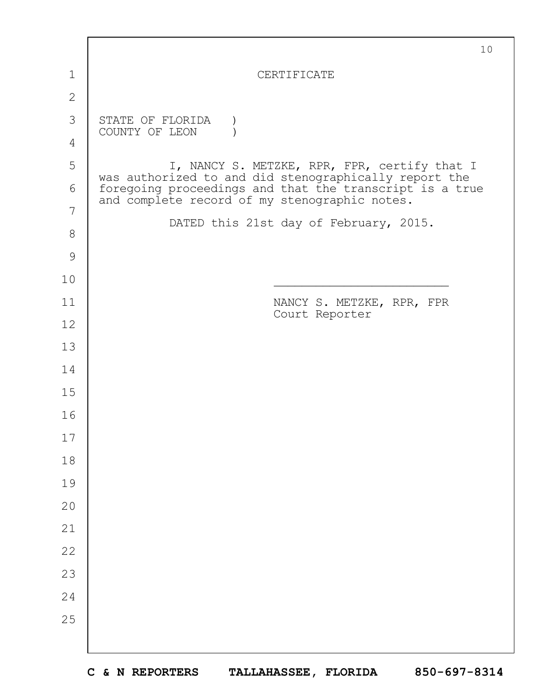|               | 10                                                                                                       |
|---------------|----------------------------------------------------------------------------------------------------------|
| 1             | CERTIFICATE                                                                                              |
| $\mathbf{2}$  |                                                                                                          |
| 3             | STATE OF FLORIDA                                                                                         |
| 4             | COUNTY OF LEON                                                                                           |
| 5             | I, NANCY S. METZKE, RPR, FPR, certify that I<br>was authorized to and did stenographically report the    |
| 6             | foregoing proceedings and that the transcript is a true<br>and complete record of my stenographic notes. |
| 7             | DATED this 21st day of February, 2015.                                                                   |
| 8             |                                                                                                          |
| $\mathcal{G}$ |                                                                                                          |
| 10            |                                                                                                          |
| 11            | NANCY S. METZKE, RPR, FPR<br>Court Reporter                                                              |
| 12            |                                                                                                          |
| 13            |                                                                                                          |
| 14            |                                                                                                          |
| 15            |                                                                                                          |
| 16            |                                                                                                          |
| 17            |                                                                                                          |
| 18            |                                                                                                          |
| 19            |                                                                                                          |
| 20            |                                                                                                          |
| 21            |                                                                                                          |
| 22            |                                                                                                          |
| 23            |                                                                                                          |
| 24            |                                                                                                          |
| 25            |                                                                                                          |
|               |                                                                                                          |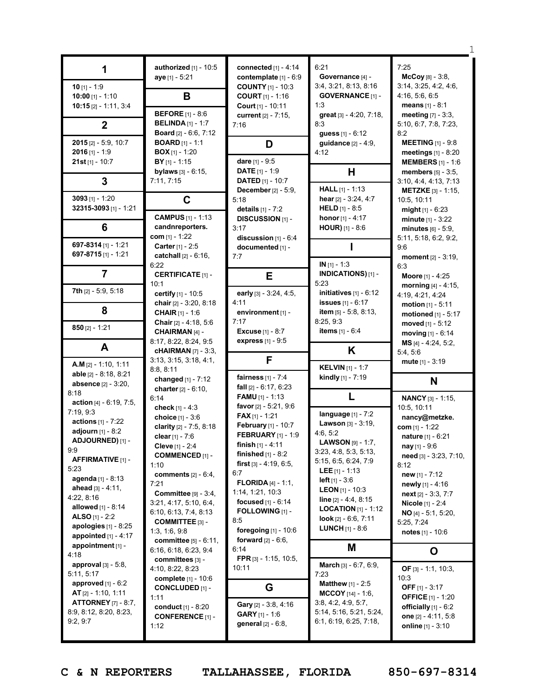|                                                                                                                                                                                                                                                                                                   | authorized $[1]$ - 10:5<br>aye [1] - 5:21                                                                                                                                                                                                                                                                        | connected [1] - 4:14<br>contemplate [1] - 6:9                                                                                                                                                                                                                                                                               | 6:21<br>Governance [4] -                                                                                                                                                                                                                                                                                                                                   | 7:25<br>$McCoy [8] - 3:8,$                                                                                                                                                                                                                                        |
|---------------------------------------------------------------------------------------------------------------------------------------------------------------------------------------------------------------------------------------------------------------------------------------------------|------------------------------------------------------------------------------------------------------------------------------------------------------------------------------------------------------------------------------------------------------------------------------------------------------------------|-----------------------------------------------------------------------------------------------------------------------------------------------------------------------------------------------------------------------------------------------------------------------------------------------------------------------------|------------------------------------------------------------------------------------------------------------------------------------------------------------------------------------------------------------------------------------------------------------------------------------------------------------------------------------------------------------|-------------------------------------------------------------------------------------------------------------------------------------------------------------------------------------------------------------------------------------------------------------------|
| $10$ [1] - 1:9<br>10:00 [1] - 1:10<br>$10:15$ [2] - 1:11, 3:4                                                                                                                                                                                                                                     | B                                                                                                                                                                                                                                                                                                                | <b>COUNTY</b> [1] - 10:3<br><b>COURT</b> $[1] - 1:16$<br>Court [1] - 10:11                                                                                                                                                                                                                                                  | 3:4, 3:21, 8:13, 8:16<br><b>GOVERNANCE [1] -</b><br>1:3                                                                                                                                                                                                                                                                                                    | 3:14, 3:25, 4:2, 4:6,<br>4:16, 5:6, 6:5<br>means $[1] - 8:1$                                                                                                                                                                                                      |
| $\mathbf{2}$                                                                                                                                                                                                                                                                                      | <b>BEFORE</b> [1] - 8:6<br><b>BELINDA</b> $[1] - 1:7$<br><b>Board</b> $[2] - 6:6, 7:12$                                                                                                                                                                                                                          | current [2] - 7:15,<br>7:16                                                                                                                                                                                                                                                                                                 | great [3] - 4:20, 7:18,<br>8:3<br><b>guess</b> $[1] - 6:12$                                                                                                                                                                                                                                                                                                | <b>meeting</b> $[7] - 3:3$ ,<br>5:10, 6:7, 7:8, 7:23,<br>8:2                                                                                                                                                                                                      |
| 2015 [2] - 5:9, 10:7<br>$2016$ [1] - 1:9<br>$21st$ [1] - 10:7                                                                                                                                                                                                                                     | <b>BOARD</b> $[1] - 1:1$<br><b>BOX</b> [1] - 1:20<br>$BY$ <sub>[1]</sub> - 1:15                                                                                                                                                                                                                                  | D<br>dare [1] - 9:5                                                                                                                                                                                                                                                                                                         | <b>guidance</b> $[2] - 4:9$ ,<br>4:12                                                                                                                                                                                                                                                                                                                      | <b>MEETING</b> [1] - 9:8<br><b>meetings</b> $[1] - 8:20$<br><b>MEMBERS</b> [1] - 1:6                                                                                                                                                                              |
| 3                                                                                                                                                                                                                                                                                                 | bylaws [3] - 6:15,<br>7:11, 7:15                                                                                                                                                                                                                                                                                 | <b>DATE</b> $[1] - 1:9$<br><b>DATED</b> [1] - 10:7<br><b>December</b> $[2] - 5:9$ ,                                                                                                                                                                                                                                         | H<br><b>HALL</b> $[1] - 1:13$                                                                                                                                                                                                                                                                                                                              | <b>members</b> $[5] - 3:5$ ,<br>3:10, 4:4, 4:13, 7:13<br><b>METZKE</b> $[3] - 1:15$                                                                                                                                                                               |
| 3093 $[1] - 1:20$<br>32315-3093 [1] - 1:21                                                                                                                                                                                                                                                        | C<br><b>CAMPUS</b> [1] - 1:13                                                                                                                                                                                                                                                                                    | 5:18<br>details [1] - 7:2                                                                                                                                                                                                                                                                                                   | hear $[2] - 3:24, 4:7$<br><b>HELD</b> $[1] - 8:5$                                                                                                                                                                                                                                                                                                          | 10:5, 10:11<br>might $[1] - 6:23$                                                                                                                                                                                                                                 |
| 6                                                                                                                                                                                                                                                                                                 | candnreporters.<br>com $[1] - 1:22$                                                                                                                                                                                                                                                                              | <b>DISCUSSION [1] -</b><br>3:17<br>discussion $[1] - 6:4$                                                                                                                                                                                                                                                                   | <b>honor</b> [1] - 4:17<br><b>HOUR)</b> $[1] - 8:6$                                                                                                                                                                                                                                                                                                        | $minute_{[1]} - 3:22$<br>minutes $[6] - 5:9$ ,<br>5:11, 5:18, 6:2, 9:2,                                                                                                                                                                                           |
| 697-8314 $[1]$ - 1:21<br>697-8715 [1] - 1:21                                                                                                                                                                                                                                                      | Carter [1] - 2:5<br>catchall [2] - 6:16,<br>6:22                                                                                                                                                                                                                                                                 | documented [1] -<br>7:7                                                                                                                                                                                                                                                                                                     | $IN [1] - 1:3$                                                                                                                                                                                                                                                                                                                                             | 9:6<br><b>moment</b> $[2] - 3:19$ ,<br>6:3                                                                                                                                                                                                                        |
| 7<br><b>7th</b> $[2] - 5:9, 5:18$                                                                                                                                                                                                                                                                 | <b>CERTIFICATE [1] -</b><br>10:1                                                                                                                                                                                                                                                                                 | E                                                                                                                                                                                                                                                                                                                           | INDICATIONS) [1] -<br>5:23                                                                                                                                                                                                                                                                                                                                 | Moore [1] - 4:25<br>morning $[4] - 4:15$ ,                                                                                                                                                                                                                        |
| 8                                                                                                                                                                                                                                                                                                 | certify [1] - 10:5<br>chair [2] - 3:20, 8:18<br><b>CHAIR</b> $[1] - 1:6$                                                                                                                                                                                                                                         | early [3] - 3:24, 4:5,<br>4:11<br>environment [1] -                                                                                                                                                                                                                                                                         | initiatives $[1] - 6:12$<br><b>issues</b> [1] - 6:17<br>item [5] - 5:8, 8:13,                                                                                                                                                                                                                                                                              | 4:19, 4:21, 4:24<br>motion $[1] - 5:11$<br>motioned $[1]$ - 5:17                                                                                                                                                                                                  |
| $850$ [2] - 1:21                                                                                                                                                                                                                                                                                  | <b>Chair</b> $[2] - 4:18, 5:6$<br>CHAIRMAN [4] -<br>8:17, 8:22, 8:24, 9:5                                                                                                                                                                                                                                        | 7:17<br><b>Excuse</b> $[1] - 8:7$<br>express [1] - 9:5                                                                                                                                                                                                                                                                      | 8:25, 9:3<br><b>items</b> $[1] - 6:4$                                                                                                                                                                                                                                                                                                                      | moved $[1] - 5:12$<br>moving $[1] - 6:14$                                                                                                                                                                                                                         |
| A                                                                                                                                                                                                                                                                                                 | <b>cHAIRMAN</b> [7] - 3:3,<br>3:13, 3:15, 3:18, 4:1,                                                                                                                                                                                                                                                             | F                                                                                                                                                                                                                                                                                                                           | K                                                                                                                                                                                                                                                                                                                                                          | MS [4] - 4:24, 5:2,<br>5:4, 5:6<br>mute $[1] - 3:19$                                                                                                                                                                                                              |
| $A.M$ [2] - 1:10, 1:11<br>able [2] - 8:18, 8:21<br>absence [2] - 3:20,                                                                                                                                                                                                                            | 8:8, 8:11<br>changed [1] - 7:12<br>charter $[2] - 6:10$ ,                                                                                                                                                                                                                                                        | fairness $[1] - 7:4$<br>fall $[2] - 6:17, 6:23$                                                                                                                                                                                                                                                                             | <b>KELVIN</b> [1] - 1:7<br>kindly [1] - 7:19                                                                                                                                                                                                                                                                                                               | N                                                                                                                                                                                                                                                                 |
| 8:18<br>action [4] - 6:19, 7:5,                                                                                                                                                                                                                                                                   | 6:14<br>check $[1] - 4:3$                                                                                                                                                                                                                                                                                        | <b>FAMU</b> $[1] - 1:13$<br>favor [2] - 5:21, 9:6                                                                                                                                                                                                                                                                           | L                                                                                                                                                                                                                                                                                                                                                          | <b>NANCY</b> [3] - 1:15,<br>10:5, 10:11                                                                                                                                                                                                                           |
| 7:19, 9:3<br>actions $[1] - 7:22$<br>adjourn [1] - 8:2<br>ADJOURNED) [1] -<br>9:9<br><b>AFFIRMATIVE</b> [1] -<br>5:23<br>agenda [1] - 8:13<br>ahead $[3] - 4:11$ ,<br>4:22, 8:16<br>allowed [1] - 8:14<br>ALSO $[1] - 2:2$<br>apologies [1] - 8:25<br>appointed $[1] - 4:17$<br>appointment [1] - | choice [1] - 3:6<br>clarity [2] - 7:5, 8:18<br>clear [1] - 7:6<br>Cleve [1] - 2:4<br><b>COMMENCED [1] -</b><br>1:10<br>comments $[2] - 6:4$ ,<br>7:21<br>Committee [9] - 3:4,<br>3:21, 4:17, 5:10, 6:4,<br>6:10, 6:13, 7:4, 8:13<br><b>COMMITTEE</b> $[3] -$<br>1:3, 1:6, 9:8<br><b>committee</b> $[5] - 6:11$ , | <b>FAX</b> $[1] - 1:21$<br>February [1] - 10:7<br><b>FEBRUARY</b> [1] - 1:9<br>finish $[1] - 4:11$<br>finished $[1]$ - 8:2<br>first $[3] - 4:19, 6:5,$<br>6:7<br><b>FLORIDA</b> $[4] - 1:1$ ,<br>1:14, 1:21, 10:3<br>focused $[1] - 6:14$<br>FOLLOWING [1] -<br>8:5<br>foregoing [1] - 10:6<br><b>forward</b> $[2] - 6:6$ , | language [1] - 7:2<br><b>Lawson</b> $[3] - 3:19$ ,<br>4:6, 5:2<br><b>LAWSON</b> $[9] - 1:7$ ,<br>3:23, 4:8, 5:3, 5:13,<br>5:15, 6:5, 6:24, 7:9<br><b>LEE</b> $[1] - 1:13$<br><b>left</b> $[1] - 3.6$<br><b>LEON</b> [1] - 10:3<br><b>line</b> $[2] - 4:4, 8:15$<br><b>LOCATION</b> $[1]$ - 1:12<br>look $[2] - 6.6, 7.11$<br><b>LUNCH</b> $[1] - 8:6$<br>М | nancy@metzke.<br>com $[1] - 1:22$<br>nature [1] - 6:21<br>nay [1] - 9:6<br>need [3] - 3:23, 7:10,<br>8:12<br>new $[1] - 7:12$<br><b>newly</b> $[1]$ - 4:16<br>$next[2] - 3:3, 7:7$<br>Nicole [1] - 2:4<br>$NO [4] - 5:1, 5:20,$<br>5:25, 7:24<br>notes [1] - 10:6 |
| 4:18                                                                                                                                                                                                                                                                                              | 6:16, 6:18, 6:23, 9:4<br>committees [3] -                                                                                                                                                                                                                                                                        | 6:14<br>FPR $[3] - 1:15, 10:5,$                                                                                                                                                                                                                                                                                             |                                                                                                                                                                                                                                                                                                                                                            | O                                                                                                                                                                                                                                                                 |
| <b>approval</b> $[3] - 5:8$ ,<br>5:11, 5:17<br>approved $[1] - 6:2$<br>$AT$ [2] - 1:10, 1:11<br><b>ATTORNEY</b> [7] - 8:7,<br>8:9, 8:12, 8:20, 8:23,<br>9:2,9:7                                                                                                                                   | 4:10, 8:22, 8:23<br>complete [1] - 10:6<br><b>CONCLUDED [1] -</b><br>1:11<br>conduct [1] - 8:20<br><b>CONFERENCE</b> [1] -<br>1:12                                                                                                                                                                               | 10:11<br>G<br>Gary [2] - 3:8, 4:16<br><b>GARY</b> $[1] - 1:6$<br>general [2] - 6:8,                                                                                                                                                                                                                                         | <b>March</b> $[3] - 6:7, 6:9,$<br>7:23<br><b>Matthew</b> $[1] - 2:5$<br><b>MCCOY</b> $[14] - 1:6$ ,<br>3:8, 4:2, 4:9, 5:7,<br>5:14, 5:16, 5:21, 5:24,<br>6:1, 6:19, 6:25, 7:18,                                                                                                                                                                            | OF $[3] - 1:1, 10:3,$<br>10:3<br>OFF $[1] - 3:17$<br><b>OFFICE</b> [1] - 1:20<br>officially $[1] - 6:2$<br>one $[2] - 4:11, 5:8$<br>online $[1] - 3:10$                                                                                                           |

**C & N REPORTERS TALLAHASSEE, FLORIDA 850-697-8314**

1